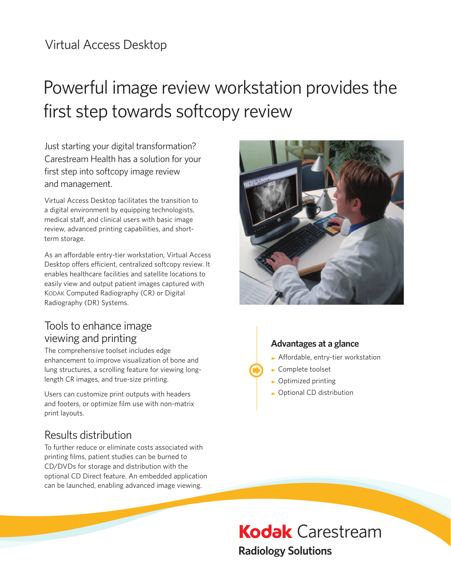# Virtual Access Desktop

# Powerful image review workstation provides the first step towards softcopy review

Just starting your digital transformation? Carestream Health has a solution for your first step into softcopy image review and management.

Virtual Access Desktop facilitates the transition to a digital environment by equipping technologists, medical staff, and clinical users with basic image review, advanced printing capabilities, and shortterm storage.

As an affordable entry-tier workstation, Virtual Access Desktop offers efficient, centralized softcopy review. It enables healthcare facilities and satellite locations to easily view and output patient images captured with KODAK Computed Radiography (CR) or Digital Radiography (DR) Systems.

## Tools to enhance image viewing and printing

The comprehensive toolset includes edge enhancement to improve visualization of bone and lung structures, a scrolling feature for viewing longlength CR images, and true-size printing.

Users can customize print outputs with headers and footers, or optimize film use with non-matrix print layouts.

## Results distribution

To further reduce or eliminate costs associated with printing films, patient studies can be burned to CD/DVDs for storage and distribution with the optional CD Direct feature. An embedded application can be launched, enabling advanced image viewing.



## **Advantages at a glance**

- **Affordable, entry-tier workstation**
- ► Complete toolset
- ► Optimized printing
- ► Optional CD distribution

# **Kodak** Carestream

**Radiology Solutions**